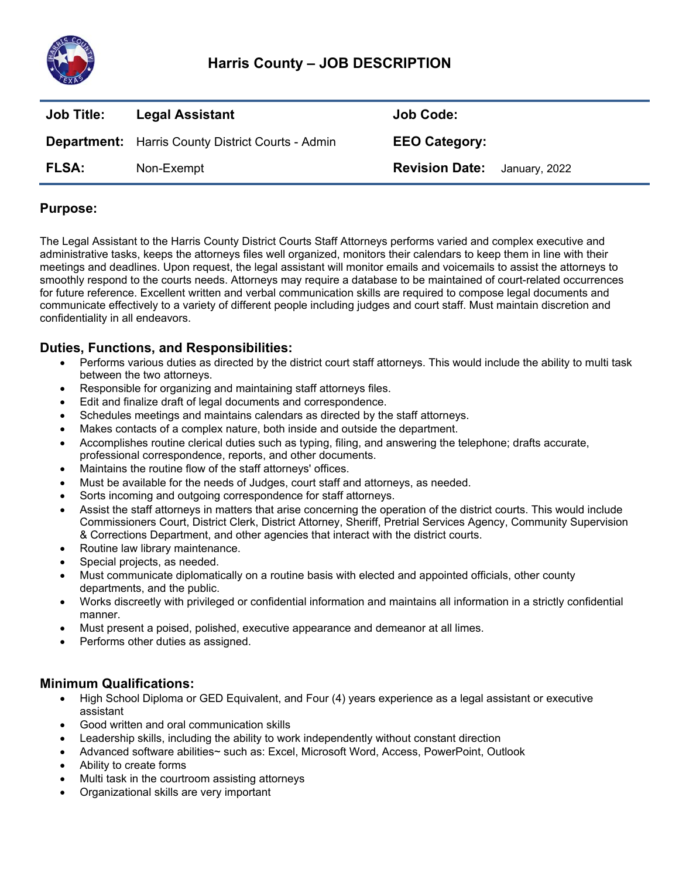

# **Harris County – JOB DESCRIPTION**

| <b>Job Title:</b> | <b>Legal Assistant</b>                                   | Job Code:             |               |
|-------------------|----------------------------------------------------------|-----------------------|---------------|
|                   | <b>Department:</b> Harris County District Courts - Admin | <b>EEO Category:</b>  |               |
| <b>FLSA:</b>      | Non-Exempt                                               | <b>Revision Date:</b> | January, 2022 |

## **Purpose:**

The Legal Assistant to the Harris County District Courts Staff Attorneys performs varied and complex executive and administrative tasks, keeps the attorneys files well organized, monitors their calendars to keep them in line with their meetings and deadlines. Upon request, the legal assistant will monitor emails and voicemails to assist the attorneys to smoothly respond to the courts needs. Attorneys may require a database to be maintained of court-related occurrences for future reference. Excellent written and verbal communication skills are required to compose legal documents and communicate effectively to a variety of different people including judges and court staff. Must maintain discretion and confidentiality in all endeavors.

### **Duties, Functions, and Responsibilities:**

- Performs various duties as directed by the district court staff attorneys. This would include the ability to multi task between the two attorneys.
- Responsible for organizing and maintaining staff attorneys files.
- Edit and finalize draft of legal documents and correspondence.
- Schedules meetings and maintains calendars as directed by the staff attorneys.
- Makes contacts of a complex nature, both inside and outside the department.
- Accomplishes routine clerical duties such as typing, filing, and answering the telephone; drafts accurate, professional correspondence, reports, and other documents.
- Maintains the routine flow of the staff attorneys' offices.
- Must be available for the needs of Judges, court staff and attorneys, as needed.
- Sorts incoming and outgoing correspondence for staff attorneys.
- Assist the staff attorneys in matters that arise concerning the operation of the district courts. This would include Commissioners Court, District Clerk, District Attorney, Sheriff, Pretrial Services Agency, Community Supervision & Corrections Department, and other agencies that interact with the district courts.
- Routine law library maintenance.
- Special projects, as needed.
- Must communicate diplomatically on a routine basis with elected and appointed officials, other county departments, and the public.
- Works discreetly with privileged or confidential information and maintains all information in a strictly confidential manner.
- Must present a poised, polished, executive appearance and demeanor at all limes.
- Performs other duties as assigned.

### **Minimum Qualifications:**

- High School Diploma or GED Equivalent, and Four (4) years experience as a legal assistant or executive assistant
- Good written and oral communication skills
- Leadership skills, including the ability to work independently without constant direction
- Advanced software abilities~ such as: Excel, Microsoft Word, Access, PowerPoint, Outlook
- Ability to create forms
- Multi task in the courtroom assisting attorneys
- Organizational skills are very important